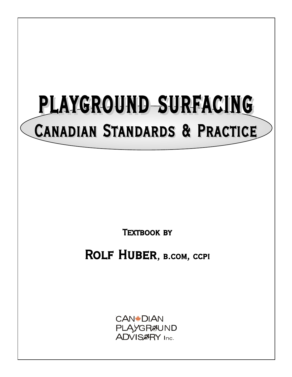# PLAYGROUND SURFACING Canadian Standards & Practice

**TEXTBOOK BY** 

ROLF HUBER, B.COM, CCPI

**CAN\*DIAN** PLAYGR&UND **ADVIS@RY** Inc.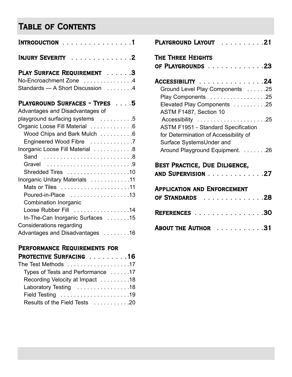## Table of Contents

| $INTRODUCTION$ 1                                                                         |
|------------------------------------------------------------------------------------------|
| INJURY SEVERITY 2                                                                        |
| PLAY SURFACE REQUIREMENT 3<br>No-Encroachment Zone 4<br>Standards - A Short Discussion 4 |
| PLAYGROUND SURFACES - TYPES 5                                                            |
| Advantages and Disadvantages of                                                          |
| playground surfacing systems 5                                                           |
| Organic Loose Fill Material 6                                                            |
| Wood Chips and Bark Mulch 6                                                              |
| Engineered Wood Fibre 7                                                                  |
| Inorganic Loose Fill Material 8                                                          |
| Sand 8                                                                                   |
| Gravel 9                                                                                 |
| Shredded Tires 10                                                                        |
| Inorganic Unitary Materials 11                                                           |
|                                                                                          |
| Poured-in-Place 13                                                                       |
| Combination Inorganic                                                                    |
| Loose Rubber Fill 14                                                                     |
| In-The-Can Inorganic Surfaces 15                                                         |
| <b>Considerations regarding</b>                                                          |
| Advantages and Disadvantages 16                                                          |

## Performance Requirements for

| PROTECTIVE SURFACING 16           |
|-----------------------------------|
| The Test Methods 17               |
| Types of Tests and Performance 17 |
| Recording Velocity at Impact 18   |
| Laboratory Testing 18             |
|                                   |
| Results of the Field Tests 20     |
|                                   |

| . 21<br>PLAYGROUND LAYOUT                                                                                       |
|-----------------------------------------------------------------------------------------------------------------|
| THE THREE HEIGHTS<br>OF PLAYGROUNDS 23                                                                          |
| ACCESSIBILITY 24                                                                                                |
| Ground Level Play Components 25                                                                                 |
| Play Components 25                                                                                              |
| Elevated Play Components 25                                                                                     |
| ASTM F1487, Section 10                                                                                          |
| Accessibility 25                                                                                                |
| <b>ASTM F1951 - Standard Specification</b><br>for Determination of Accessibility of<br>Surface SystemsUnder and |
| Around Playground Equipment. 26                                                                                 |
| BEST PRACTICE, DUE DILIGENCE,<br>AND SUPERVISION 27                                                             |
| <b>APPLICATION AND ENFORCEMENT</b><br>OF STANDARDS<br>. 28                                                      |
| . 30<br><b>REFERENCES</b>                                                                                       |

ABOUT THE AUTHOR . . . . . . . . . . . 31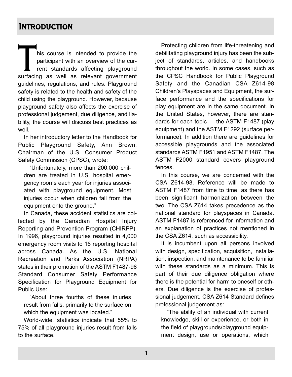## **INTRODUCTION**

This course is intended to provide the<br>participant with an overview of the cur-<br>rent standards affecting playground<br>surfacing as well as relevant government participant with an overview of the current standards affecting playground guidelines, regulations, and rules. Playground safety is related to the health and safety of the child using the playground. However, because playground safety also affects the exercise of professional judgement, due diligence, and liability, the course will discuss best practices as well.

In her introductory letter to the Handbook for Public Playground Safety, Ann Brown, Chairman of the U.S. Consumer Product Safety Commission (CPSC), wrote:

"Unfortunately, more than 200,000 children are treated in U.S. hospital emergency rooms each year for injuries associated with playground equipment. Most injuries occur when children fall from the equipment onto the ground."

In Canada, these accident statistics are collected by the Canadian Hospital Injury Reporting and Prevention Program (CHIRPP). In 1996, playground injuries resulted in 4,000 emergency room visits to 16 reporting hospital across Canada. As the U.S. National Recreation and Parks Association (NRPA) states in their promotion of the ASTM F1487-98 Standard Consumer Safety Performance Specification for Playground Equipment for Public Use:

"About three fourths of these injuries result from falls, primarily to the surface on which the equipment was located."

World-wide, statistics indicate that 55% to 75% of all playground injuries result from falls to the surface.

Protecting children from life-threatening and debilitating playground injury has been the subject of standards, articles, and handbooks throughout the world. In some cases, such as the CPSC Handbook for Public Playground Safety and the Canadian CSA Z614-98 Children's Playspaces and Equipment, the surface performance and the specifications for play equipment are in the same document. In the United States, however, there are standards for each topic — the ASTM F1487 (play equipment) and the ASTM F1292 (surface performance). In addition there are guidelines for accessible playgrounds and the associated standards ASTM F1951 and ASTM F1487. The ASTM F2000 standard covers playground fences.

In this course, we are concerned with the CSA Z614-98. Reference will be made to ASTM F1487 from time to time, as there has been significant harmonization between the two. The CSA Z614 takes precedence as the national standard for playspaces in Canada. ASTM F1487 is referenced for information and an explanation of practices not mentioned in the CSA Z614, such as accessibility.

It is incumbent upon all persons involved with design, specification, acquisition, installation, inspection, and maintenance to be familiar with these standards as a minimum. This is part of their due diligence obligation where there is the potential for harm to oneself or others. Due diligence is the exercise of professional judgement. CSA Z614 Standard defines professional judgement as:

"The ability of an individual with current knowledge, skill or experience, or both in the field of playgrounds/playground equipment design, use or operations, which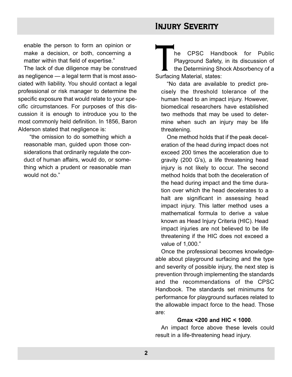enable the person to form an opinion or make a decision, or both, concerning a matter within that field of expertise."

The lack of due diligence may be construed as negligence — a legal term that is most associated with liability. You should contact a legal professional or risk manager to determine the specific exposure that would relate to your specific circumstances. For purposes of this discussion it is enough to introduce you to the most commonly held definition. In 1856, Baron Alderson stated that negligence is:

"the omission to do something which a reasonable man, guided upon those considerations that ordinarily regulate the conduct of human affairs, would do, or something which a prudent or reasonable man would not do."

## Injury Severity

The CPSC Handbook for Public<br>Playground Safety, in its discussion of<br>the Determining Shock Absorbency of a<br>Surfacing Material, states: Playground Safety, in its discussion of the Determining Shock Absorbency of a Surfacing Material, states:

"No data are available to predict precisely the threshold tolerance of the human head to an impact injury. However, biomedical researchers have established two methods that may be used to determine when such an injury may be life threatening.

One method holds that if the peak deceleration of the head during impact does not exceed 200 times the acceleration due to gravity (200 G's), a life threatening head injury is not likely to occur. The second method holds that both the deceleration of the head during impact and the time duration over which the head decelerates to a halt are significant in assessing head impact injury. This latter method uses a mathematical formula to derive a value known as Head Injury Criteria (HIC). Head impact injuries are not believed to be life threatening if the HIC does not exceed a value of 1,000."

Once the professional becomes knowledgeable about playground surfacing and the type and severity of possible injury, the next step is prevention through implementing the standards and the recommendations of the CPSC Handbook. The standards set minimums for performance for playground surfaces related to the allowable impact force to the head. Those are:

#### **Gmax <200 and HIC < 1000**.

An impact force above these levels could result in a life-threatening head injury.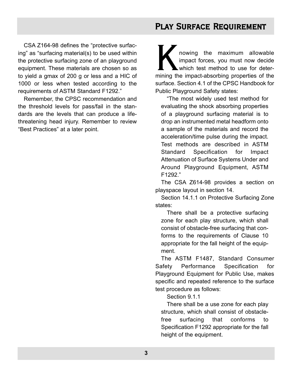## PLAY SURFACE REQUIREMENT

CSA Z164-98 defines the "protective surfacing" as "surfacing material(s) to be used within the protective surfacing zone of an playground equipment. These materials are chosen so as to yield a gmax of 200 g or less and a HIC of 1000 or less when tested according to the requirements of ASTM Standard F1292."

Remember, the CPSC recommendation and the threshold levels for pass/fail in the standards are the levels that can produce a lifethreatening head injury. Remember to review "Best Practices" at a later point.

N nowing the maximum allowable<br>
impact forces, you must now decide<br>
which test method to use for deter-<br>
mining the impact-absorbing properties of the impact forces, you must now decide which test method to use for detersurface. Section 4.1 of the CPSC Handbook for Public Playground Safety states:

"The most widely used test method for evaluating the shock absorbing properties of a playground surfacing material is to drop an instrumented metal headform onto a sample of the materials and record the acceleration/time pulse during the impact. Test methods are described in ASTM Standard Specification for Impact Attenuation of Surface Systems Under and Around Playground Equipment, ASTM F1292."

The CSA Z614-98 provides a section on playspace layout in section 14.

Section 14.1.1 on Protective Surfacing Zone states:

There shall be a protective surfacing zone for each play structure, which shall consist of obstacle-free surfacing that conforms to the requirements of Clause 10 appropriate for the fall height of the equipment.

The ASTM F1487, Standard Consumer Safety Performance Specification for Playground Equipment for Public Use, makes specific and repeated reference to the surface test procedure as follows:

Section 9.1.1

There shall be a use zone for each play structure, which shall consist of obstaclefree surfacing that conforms to Specification F1292 appropriate for the fall height of the equipment.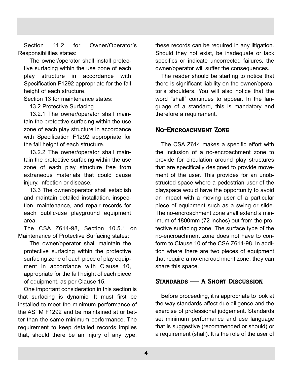Section 11.2 for Owner/Operator's Responsibilities states:

The owner/operator shall install protective surfacing within the use zone of each play structure in accordance with Specification F1292 appropriate for the fall height of each structure.

Section 13 for maintenance states:

13.2 Protective Surfacing

13.2.1 The owner/operator shall maintain the protective surfacing within the use zone of each play structure in accordance with Specification F1292 appropriate for the fall height of each structure.

13.2.2 The owner/operator shall maintain the protective surfacing within the use zone of each play structure free from extraneous materials that could cause injury, infection or disease.

13.3 The owner/operator shall establish and maintain detailed installation, inspection, maintenance, and repair records for each public-use playground equipment area.

The CSA Z614-98, Section 10.5.1 on Maintenance of Protective Surfacing states:

The owner/operator shall maintain the protective surfacing within the protective surfacing zone of each piece of play equipment in accordance with Clause 10, appropriate for the fall height of each piece of equipment, as per Clause 15.

One important consideration in this section is that surfacing is dynamic. It must first be installed to meet the minimum performance of the ASTM F1292 and be maintained at or better than the same minimum performance. The requirement to keep detailed records implies that, should there be an injury of any type,

these records can be required in any litigation. Should they not exist, be inadequate or lack specifics or indicate uncorrected failures, the owner/operator will suffer the consequences.

The reader should be starting to notice that there is significant liability on the owner/operator's shoulders. You will also notice that the word "shall" continues to appear. In the language of a standard, this is mandatory and therefore a requirement.

#### No-Encroachment Zone

The CSA Z614 makes a specific effort with the inclusion of a no-encroachment zone to provide for circulation around play structures that are specifically designed to provide movement of the user. This provides for an unobstructed space where a pedestrian user of the playspace would have the opportunity to avoid an impact with a moving user of a particular piece of equipment such as a swing or slide. The no-encroachment zone shall extend a minimum of 1800mm (72 inches) out from the protective surfacing zone. The surface type of the no-encroachment zone does not have to conform to Clause 10 of the CSA Z614-98. In addition where there are two pieces of equipment that require a no-encroachment zone, they can share this space.

#### Standards — A Short Discussion

Before proceeding, it is appropriate to look at the way standards affect due diligence and the exercise of professional judgement. Standards set minimum performance and use language that is suggestive (recommended or should) or a requirement (shall). It is the role of the user of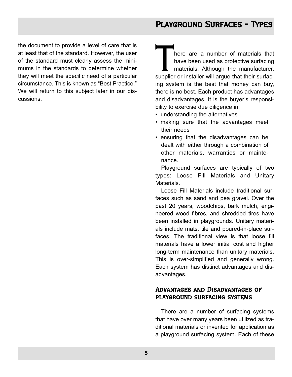the document to provide a level of care that is at least that of the standard. However, the user of the standard must clearly assess the minimums in the standards to determine whether they will meet the specific need of a particular circumstance. This is known as "Best Practice." We will return to this subject later in our discussions.

There are a number of materials that<br>
have been used as protective surfacing<br>
materials. Although the manufacturer,<br>
supplier or installer will argue that their surfachave been used as protective surfacing materials. Although the manufacturer, ing system is the best that money can buy, there is no best. Each product has advantages and disadvantages. It is the buyer's responsibility to exercise due diligence in:

- understanding the alternatives
- making sure that the advantages meet their needs
- ensuring that the disadvantages can be dealt with either through a combination of other materials, warranties or maintenance.

Playground surfaces are typically of two types: Loose Fill Materials and Unitary Materials.

Loose Fill Materials include traditional surfaces such as sand and pea gravel. Over the past 20 years, woodchips, bark mulch, engineered wood fibres, and shredded tires have been installed in playgrounds. Unitary materials include mats, tile and poured-in-place surfaces. The traditional view is that loose fill materials have a lower initial cost and higher long-term maintenance than unitary materials. This is over-simplified and generally wrong. Each system has distinct advantages and disadvantages.

#### Advantages and Disadvantages of playground surfacing systems

There are a number of surfacing systems that have over many years been utilized as traditional materials or invented for application as a playground surfacing system. Each of these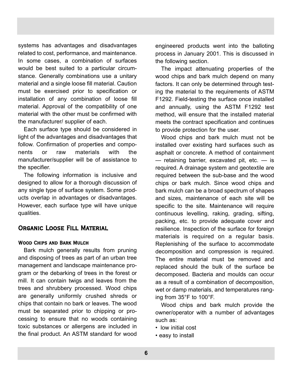systems has advantages and disadvantages related to cost, performance, and maintenance. In some cases, a combination of surfaces would be best suited to a particular circumstance. Generally combinations use a unitary material and a single loose fill material. Caution must be exercised prior to specification or installation of any combination of loose fill material. Approval of the compatibility of one material with the other must be confirmed with the manufacturer/ supplier of each.

Each surface type should be considered in light of the advantages and disadvantages that follow. Confirmation of properties and components or raw materials with the manufacturer/supplier will be of assistance to the specifier.

The following information is inclusive and designed to allow for a thorough discussion of any single type of surface system. Some products overlap in advantages or disadvantages. However, each surface type will have unique qualities.

#### Organic Loose Fill Material

#### Wood Chips and Bark Mulch

Bark mulch generally results from pruning and disposing of trees as part of an urban tree management and landscape maintenance program or the debarking of trees in the forest or mill. It can contain twigs and leaves from the trees and shrubbery processed. Wood chips are generally uniformly crushed shreds or chips that contain no bark or leaves. The wood must be separated prior to chipping or processing to ensure that no woods containing toxic substances or allergens are included in the final product. An ASTM standard for wood

engineered products went into the balloting process in January 2001. This is discussed in the following section.

The impact attenuating properties of the wood chips and bark mulch depend on many factors. It can only be determined through testing the material to the requirements of ASTM F1292. Field-testing the surface once installed and annually, using the ASTM F1292 test method, will ensure that the installed material meets the contract specification and continues to provide protection for the user.

Wood chips and bark mulch must not be installed over existing hard surfaces such as asphalt or concrete. A method of containment — retaining barrier, excavated pit, etc. — is required. A drainage system and geotextile are required between the sub-base and the wood chips or bark mulch. Since wood chips and bark mulch can be a broad spectrum of shapes and sizes, maintenance of each site will be specific to the site. Maintenance will require continuous levelling, raking, grading, sifting, packing, etc. to provide adequate cover and resilience. Inspection of the surface for foreign materials is required on a regular basis. Replenishing of the surface to accommodate decomposition and compression is required. The entire material must be removed and replaced should the bulk of the surface be decomposed. Bacteria and moulds can occur as a result of a combination of decomposition, wet or damp materials, and temperatures ranging from 35°F to 100°F.

Wood chips and bark mulch provide the owner/operator with a number of advantages such as:

- low initial cost
- easy to install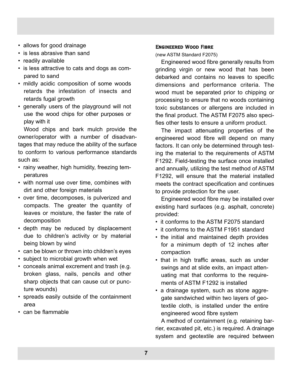- allows for good drainage
- is less abrasive than sand
- readily available
- is less attractive to cats and dogs as compared to sand
- mildly acidic composition of some woods retards the infestation of insects and retards fugal growth
- generally users of the playground will not use the wood chips for other purposes or play with it

Wood chips and bark mulch provide the owner/operator with a number of disadvantages that may reduce the ability of the surface to conform to various performance standards such as:

- rainy weather, high humidity, freezing temperatures
- with normal use over time, combines with dirt and other foreign materials
- over time, decomposes, is pulverized and compacts. The greater the quantity of leaves or moisture, the faster the rate of decomposition
- depth may be reduced by displacement due to children's activity or by material being blown by wind
- can be blown or thrown into children's eyes
- subject to microbial growth when wet
- conceals animal excrement and trash (e.g. broken glass, nails, pencils and other sharp objects that can cause cut or puncture wounds)
- spreads easily outside of the containment area
- can be flammable

#### Engineered Wood Fibre

(new ASTM Standard F2075)

Engineered wood fibre generally results from grinding virgin or new wood that has been debarked and contains no leaves to specific dimensions and performance criteria. The wood must be separated prior to chipping or processing to ensure that no woods containing toxic substances or allergens are included in the final product. The ASTM F2075 also specifies other tests to ensure a uniform product.

The impact attenuating properties of the engineered wood fibre will depend on many factors. It can only be determined through testing the material to the requirements of ASTM F1292. Field-testing the surface once installed and annually, utilizing the test method of ASTM F1292, will ensure that the material installed meets the contract specification and continues to provide protection for the user.

Engineered wood fibre may be installed over existing hard surfaces (e.g. asphalt, concrete) provided:

- it conforms to the ASTM F2075 standard
- it conforms to the ASTM F1951 standard
- the initial and maintained depth provides for a minimum depth of 12 inches after compaction
- that in high traffic areas, such as under swings and at slide exits, an impact attenuating mat that conforms to the requirements of ASTM F1292 is installed
- a drainage system, such as stone aggregate sandwiched within two layers of geotextile cloth, is installed under the entire engineered wood fibre system

A method of containment (e.g. retaining barrier, excavated pit, etc.) is required. A drainage system and geotextile are required between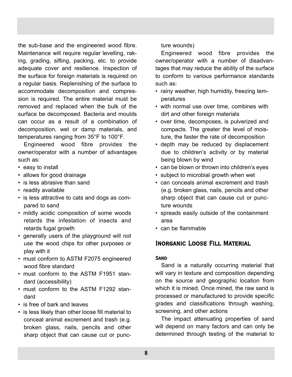the sub-base and the engineered wood fibre. Maintenance will require regular levelling, raking, grading, sifting, packing, etc. to provide adequate cover and resilience. Inspection of the surface for foreign materials is required on a regular basis. Replenishing of the surface to accommodate decomposition and compression is required. The entire material must be removed and replaced when the bulk of the surface be decomposed. Bacteria and moulds can occur as a result of a combination of decomposition, wet or damp materials, and temperatures ranging from 35°F to 100°F.

Engineered wood fibre provides the owner/operator with a number of advantages such as:

- easy to install
- allows for good drainage
- is less abrasive than sand
- readily available
- is less attractive to cats and dogs as compared to sand
- mildly acidic composition of some woods retards the infestation of insects and retards fugal growth
- generally users of the playground will not use the wood chips for other purposes or play with it
- must conform to ASTM F2075 engineered wood fibre standard
- must conform to the ASTM F1951 standard (accessibility)
- must conform to the ASTM F1292 standard
- is free of bark and leaves
- is less likely than other loose fill material to conceal animal excrement and trash (e.g. broken glass, nails, pencils and other sharp object that can cause cut or punc-

ture wounds)

Engineered wood fibre provides the owner/operator with a number of disadvantages that may reduce the ability of the surface to conform to various performance standards such as:

- rainy weather, high humidity, freezing temperatures
- with normal use over time, combines with dirt and other foreign materials
- over time, decomposes, is pulverized and compacts. The greater the level of moisture, the faster the rate of decomposition
- depth may be reduced by displacement due to children's activity or by material being blown by wind
- can be blown or thrown into children's eyes
- subject to microbial growth when wet
- can conceals animal excrement and trash (e.g. broken glass, nails, pencils and other sharp object that can cause cut or puncture wounds
- spreads easily outside of the containment area
- can be flammable

#### Inorganic Loose Fill Material

#### **SAND**

Sand is a naturally occurring material that will vary in texture and composition depending on the source and geographic location from which it is mined. Once mined, the raw sand is processed or manufactured to provide specific grades and classifications through washing, screening, and other actions

The impact attenuating properties of sand will depend on many factors and can only be determined through testing of the material to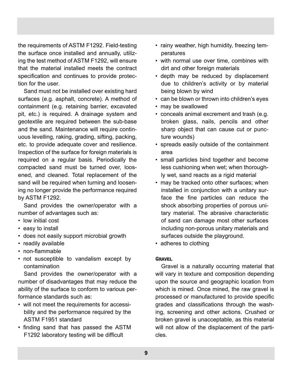the requirements of ASTM F1292. Field-testing the surface once installed and annually, utilizing the test method of ASTM F1292, will ensure that the material installed meets the contract specification and continues to provide protection for the user.

Sand must not be installed over existing hard surfaces (e.g. asphalt, concrete). A method of containment (e.g. retaining barrier, excavated pit, etc.) is required. A drainage system and geotextile are required between the sub-base and the sand. Maintenance will require continuous levelling, raking, grading, sifting, packing, etc. to provide adequate cover and resilience. Inspection of the surface for foreign materials is required on a regular basis. Periodically the compacted sand must be turned over, loosened, and cleaned. Total replacement of the sand will be required when turning and loosening no longer provide the performance required by ASTM F1292.

Sand provides the owner/operator with a number of advantages such as:

- low initial cost
- easy to install
- does not easily support microbial growth
- readily available
- non-flammable
- not susceptible to vandalism except by contamination

Sand provides the owner/operator with a number of disadvantages that may reduce the ability of the surface to conform to various performance standards such as:

- will not meet the requirements for accessibility and the performance required by the ASTM F1951 standard
- finding sand that has passed the ASTM F1292 laboratory testing will be difficult
- rainy weather, high humidity, freezing temperatures
- with normal use over time, combines with dirt and other foreign materials
- depth may be reduced by displacement due to children's activity or by material being blown by wind
- can be blown or thrown into children's eyes
- may be swallowed
- conceals animal excrement and trash (e.g. broken glass, nails, pencils and other sharp object that can cause cut or puncture wounds)
- spreads easily outside of the containment area
- small particles bind together and become less cushioning when wet; when thoroughly wet, sand reacts as a rigid material
- may be tracked onto other surfaces; when installed in conjunction with a unitary surface the fine particles can reduce the shock absorbing properties of porous unitary material. The abrasive characteristic of sand can damage most other surfaces including non-porous unitary materials and surfaces outside the playground.
- adheres to clothing

#### **GRAVEL**

Gravel is a naturally occurring material that will vary in texture and composition depending upon the source and geographic location from which is mined. Once mined, the raw gravel is processed or manufactured to provide specific grades and classifications through the washing, screening and other actions. Crushed or broken gravel is unacceptable, as this material will not allow of the displacement of the particles.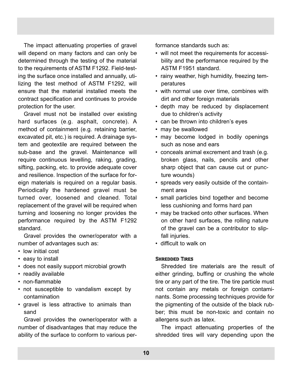The impact attenuating properties of gravel will depend on many factors and can only be determined through the testing of the material to the requirements of ASTM F1292. Field-testing the surface once installed and annually, utilizing the test method of ASTM F1292, will ensure that the material installed meets the contract specification and continues to provide protection for the user.

Gravel must not be installed over existing hard surfaces (e.g. asphalt, concrete). A method of containment (e.g. retaining barrier, excavated pit, etc.) is required. A drainage system and geotextile are required between the sub-base and the gravel. Maintenance will require continuous levelling, raking, grading, sifting, packing, etc. to provide adequate cover and resilience. Inspection of the surface for foreign materials is required on a regular basis. Periodically the hardened gravel must be turned over, loosened and cleaned. Total replacement of the gravel will be required when turning and loosening no longer provides the performance required by the ASTM F1292 standard.

Gravel provides the owner/operator with a number of advantages such as:

- low initial cost
- easy to install
- does not easily support microbial growth
- readily available
- non-flammable
- not susceptible to vandalism except by contamination
- gravel is less attractive to animals than sand

Gravel provides the owner/operator with a number of disadvantages that may reduce the ability of the surface to conform to various performance standards such as:

- will not meet the requirements for accessibility and the performance required by the ASTM F1951 standard.
- rainy weather, high humidity, freezing temperatures
- with normal use over time, combines with dirt and other foreign materials
- depth may be reduced by displacement due to children's activity
- can be thrown into children's eyes
- may be swallowed
- may become lodged in bodily openings such as nose and ears
- conceals animal excrement and trash (e.g. broken glass, nails, pencils and other sharp object that can cause cut or puncture wounds)
- spreads very easily outside of the containment area
- small particles bind together and become less cushioning and forms hard pan
- may be tracked onto other surfaces. When on other hard surfaces, the rolling nature of the gravel can be a contributor to slipfall injuries.
- difficult to walk on

#### Shredded Tires

Shredded tire materials are the result of either grinding, buffing or crushing the whole tire or any part of the tire. The tire particle must not contain any metals or foreign contaminants. Some processing techniques provide for the pigmenting of the outside of the black rubber; this must be non-toxic and contain no allergens such as latex.

The impact attenuating properties of the shredded tires will vary depending upon the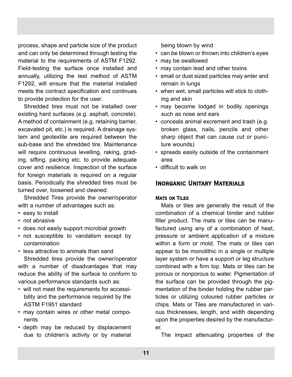process, shape and particle size of the product and can only be determined through testing the material to the requirements of ASTM F1292. Field-testing the surface once installed and annually, utilizing the test method of ASTM F1292, will ensure that the material installed meets the contract specification and continues to provide protection for the user.

Shredded tires must not be installed over existing hard surfaces (e.g. asphalt, concrete). A method of containment (e.g. retaining barrier, excavated pit, etc.) is required. A drainage system and geotextile are required between the sub-base and the shredded tire. Maintenance will require continuous levelling, raking, grading, sifting, packing etc. to provide adequate cover and resilience. Inspection of the surface for foreign materials is required on a regular basis. Periodically the shredded tires must be turned over, loosened and cleaned.

Shredded Tires provide the owner/operator with a number of advantages such as:

- easy to install
- not abrasive
- does not easily support microbial growth
- not susceptible to vandalism except by contamination
- less attractive to animals than sand

Shredded tires provide the owner/operator with a number of disadvantages that may reduce the ability of the surface to conform to various performance standards such as:

- will not meet the requirements for accessibility and the performance required by the ASTM F1951 standard
- may contain wires or other metal components
- depth may be reduced by displacement due to children's activity or by material

being blown by wind

- can be blown or thrown into children's eyes
- may be swallowed
- may contain lead and other toxins
- small or dust sized particles may enter and remain in lungs
- when wet, small particles will stick to clothing and skin
- may become lodged in bodily openings such as nose and ears
- conceals animal excrement and trash (e.g. broken glass, nails, pencils and other sharp object that can cause cut or puncture wounds)
- spreads easily outside of the containment area
- difficult to walk on

#### Inorganic Unitary Materials

#### Mats or Tiles

Mats or tiles are generally the result of the combination of a chemical binder and rubber filler product. The mats or tiles can be manufactured using any of a combination of heat, pressure or ambient application of a mixture within a form or mold. The mats or tiles can appear to be monolithic in a single or multiple layer system or have a support or leg structure combined with a firm top. Mats or tiles can be porous or nonporous to water. Pigmentation of the surface can be provided through the pigmentation of the binder holding the rubber particles or utilizing coloured rubber particles or chips. Mats or Tiles are manufactured in various thicknesses, length, and width depending upon the properties desired by the manufacturer.

The impact attenuating properties of the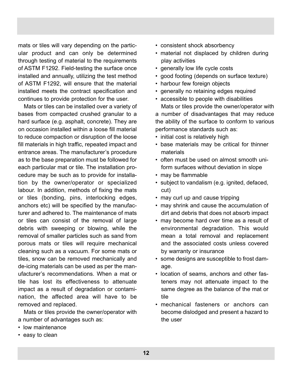mats or tiles will vary depending on the particular product and can only be determined through testing of material to the requirements of ASTM F1292. Field-testing the surface once installed and annually, utilizing the test method of ASTM F1292, will ensure that the material installed meets the contract specification and continues to provide protection for the user.

Mats or tiles can be installed over a variety of bases from compacted crushed granular to a hard surface (e.g. asphalt, concrete). They are on occasion installed within a loose fill material to reduce compaction or disruption of the loose fill materials in high traffic, repeated impact and entrance areas. The manufacturer's procedure as to the base preparation must be followed for each particular mat or tile. The installation procedure may be such as to provide for installation by the owner/operator or specialized labour. In addition, methods of fixing the mats or tiles (bonding, pins, interlocking edges, anchors etc) will be specified by the manufacturer and adhered to. The maintenance of mats or tiles can consist of the removal of large debris with sweeping or blowing, while the removal of smaller particles such as sand from porous mats or tiles will require mechanical cleaning such as a vacuum. For some mats or tiles, snow can be removed mechanically and de-icing materials can be used as per the manufacturer's recommendations. When a mat or tile has lost its effectiveness to attenuate impact as a result of degradation or contamination, the affected area will have to be removed and replaced.

Mats or tiles provide the owner/operator with a number of advantages such as:

- low maintenance
- easy to clean
- consistent shock absorbency
- material not displaced by children during play activities
- generally low life cycle costs
- good footing (depends on surface texture)
- harbour few foreign objects
- generally no retaining edges required
- accessible to people with disabilities Mats or tiles provide the owner/operator with a number of disadvantages that may reduce the ability of the surface to conform to various performance standards such as:
- initial cost is relatively high
- base materials may be critical for thinner materials
- often must be used on almost smooth uniform surfaces without deviation in slope
- may be flammable
- subject to vandalism (e.g. ignited, defaced, cut)
- may curl up and cause tripping
- may shrink and cause the accumulation of dirt and debris that does not absorb impact
- may become hard over time as a result of environmental degradation. This would mean a total removal and replacement and the associated costs unless covered by warranty or insurance
- some designs are susceptible to frost damage.
- location of seams, anchors and other fasteners may not attenuate impact to the same degree as the balance of the mat or tile
- mechanical fasteners or anchors can become dislodged and present a hazard to the user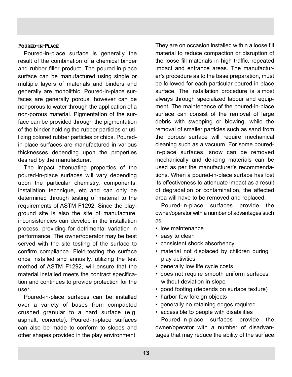#### Poured-in-Place

Poured-in-place surface is generally the result of the combination of a chemical binder and rubber filler product. The poured-in-place surface can be manufactured using single or multiple layers of materials and binders and generally are monolithic. Poured-in-place surfaces are generally porous, however can be nonporous to water through the application of a non-porous material. Pigmentation of the surface can be provided through the pigmentation of the binder holding the rubber particles or utilizing colored rubber particles or chips. Pouredin-place surfaces are manufactured in various thicknesses depending upon the properties desired by the manufacturer.

The impact attenuating properties of the poured-in-place surfaces will vary depending upon the particular chemistry, components, installation technique, etc and can only be determined through testing of material to the requirements of ASTM F1292. Since the playground site is also the site of manufacture, inconsistencies can develop in the installation process, providing for detrimental variation in performance. The owner/operator may be best served with the site testing of the surface to confirm compliance. Field-testing the surface once installed and annually, utilizing the test method of ASTM F1292, will ensure that the material installed meets the contract specification and continues to provide protection for the user.

Poured-in-place surfaces can be installed over a variety of bases from compacted crushed granular to a hard surface (e.g. asphalt, concrete). Poured-in-place surfaces can also be made to conform to slopes and other shapes provided in the play environment.

They are on occasion installed within a loose fill material to reduce compaction or disruption of the loose fill materials in high traffic, repeated impact and entrance areas. The manufacturer's procedure as to the base preparation, must be followed for each particular poured-in-place surface. The installation procedure is almost always through specialized labour and equipment. The maintenance of the poured-in-place surface can consist of the removal of large debris with sweeping or blowing, while the removal of smaller particles such as sand from the porous surface will require mechanical cleaning such as a vacuum. For some pouredin-place surfaces, snow can be removed mechanically and de-icing materials can be used as per the manufacturer's recommendations. When a poured-in-place surface has lost its effectiveness to attenuate impact as a result of degradation or contamination, the affected area will have to be removed and replaced.

Poured-in-place surfaces provide the owner/operator with a number of advantages such as:

- low maintenance
- easy to clean
- consistent shock absorbency
- material not displaced by children during play activities
- generally low life cycle costs
- does not require smooth uniform surfaces without deviation in slope
- good footing (depends on surface texture)
- harbor few foreign objects
- generally no retaining edges required
- accessible to people with disabilities

Poured-in-place surfaces provide the owner/operator with a number of disadvantages that may reduce the ability of the surface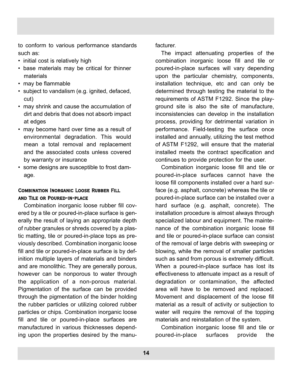to conform to various performance standards such as:

- initial cost is relatively high
- base materials may be critical for thinner materials
- may be flammable
- subject to vandalism (e.g. ignited, defaced, cut)
- may shrink and cause the accumulation of dirt and debris that does not absorb impact at edges
- may become hard over time as a result of environmental degradation. This would mean a total removal and replacement and the associated costs unless covered by warranty or insurance
- some designs are susceptible to frost damage.

#### Combination Inorganic Loose Rubber Fill and Tile or Poured-in-place

Combination inorganic loose rubber fill covered by a tile or poured-in-place surface is generally the result of laying an appropriate depth of rubber granules or shreds covered by a plastic matting, tile or poured-in-place tops as previously described. Combination inorganic loose fill and tile or poured-in-place surface is by definition multiple layers of materials and binders and are monolithic. They are generally porous, however can be nonporous to water through the application of a non-porous material. Pigmentation of the surface can be provided through the pigmentation of the binder holding the rubber particles or utilizing colored rubber particles or chips. Combination inorganic loose fill and tile or poured-in-place surfaces are manufactured in various thicknesses depending upon the properties desired by the manufacturer.

The impact attenuating properties of the combination inorganic loose fill and tile or poured-in-place surfaces will vary depending upon the particular chemistry, components, installation technique, etc and can only be determined through testing the material to the requirements of ASTM F1292. Since the playground site is also the site of manufacture, inconsistencies can develop in the installation process, providing for detrimental variation in performance. Field-testing the surface once installed and annually, utilizing the test method of ASTM F1292, will ensure that the material installed meets the contract specification and continues to provide protection for the user.

Combination inorganic loose fill and tile or poured-in-place surfaces cannot have the loose fill components installed over a hard surface (e.g. asphalt, concrete) whereas the tile or poured-in-place surface can be installed over a hard surface (e.g. asphalt, concrete). The installation procedure is almost always through specialized labour and equipment. The maintenance of the combination inorganic loose fill and tile or poured-in-place surface can consist of the removal of large debris with sweeping or blowing, while the removal of smaller particles such as sand from porous is extremely difficult. When a poured-in-place surface has lost its effectiveness to attenuate impact as a result of degradation or contamination, the affected area will have to be removed and replaced. Movement and displacement of the loose fill material as a result of activity or subjection to water will require the removal of the topping materials and reinstallation of the system.

Combination inorganic loose fill and tile or poured-in-place surfaces provide the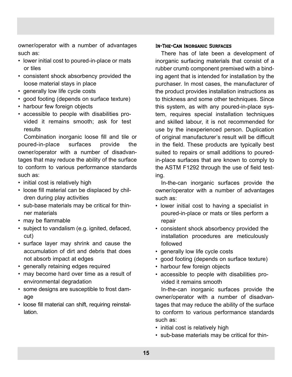owner/operator with a number of advantages such as:

- lower initial cost to poured-in-place or mats or tiles
- consistent shock absorbency provided the loose material stays in place
- generally low life cycle costs
- good footing (depends on surface texture)
- harbour few foreign objects
- accessible to people with disabilities provided it remains smooth; ask for test results

Combination inorganic loose fill and tile or poured-in-place surfaces provide the owner/operator with a number of disadvantages that may reduce the ability of the surface to conform to various performance standards such as:

- initial cost is relatively high
- loose fill material can be displaced by children during play activities
- sub-base materials may be critical for thinner materials
- may be flammable
- subject to vandalism (e.g. ignited, defaced, cut)
- surface layer may shrink and cause the accumulation of dirt and debris that does not absorb impact at edges
- generally retaining edges required
- may become hard over time as a result of environmental degradation
- some designs are susceptible to frost damage
- loose fill material can shift, requiring reinstallation.

#### In-The-Can Inorganic Surfaces

There has of late been a development of inorganic surfacing materials that consist of a rubber crumb component premixed with a binding agent that is intended for installation by the purchaser. In most cases, the manufacturer of the product provides installation instructions as to thickness and some other techniques. Since this system, as with any poured-in-place system, requires special installation techniques and skilled labour, it is not recommended for use by the inexperienced person. Duplication of original manufacturer's result will be difficult in the field. These products are typically best suited to repairs or small additions to pouredin-place surfaces that are known to comply to the ASTM F1292 through the use of field testing.

In-the-can inorganic surfaces provide the owner/operator with a number of advantages such as:

- lower initial cost to having a specialist in poured-in-place or mats or tiles perform a repair
- consistent shock absorbency provided the installation procedures are meticulously followed
- generally low life cycle costs
- good footing (depends on surface texture)
- harbour few foreign objects
- accessible to people with disabilities provided it remains smooth

In-the-can inorganic surfaces provide the owner/operator with a number of disadvantages that may reduce the ability of the surface to conform to various performance standards such as:

- initial cost is relatively high
- sub-base materials may be critical for thin-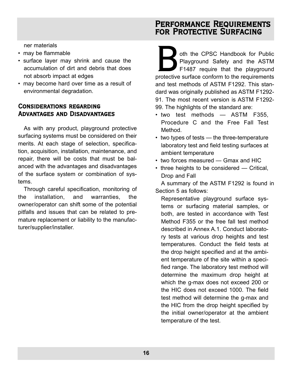ner materials

- may be flammable
- surface layer may shrink and cause the accumulation of dirt and debris that does not absorb impact at edges
- may become hard over time as a result of environmental degradation.

#### Considerations regarding Advantages and Disadvantages

As with any product, playground protective surfacing systems must be considered on their merits. At each stage of selection, specification, acquisition, installation, maintenance, and repair, there will be costs that must be balanced with the advantages and disadvantages of the surface system or combination of systems.

Through careful specification, monitoring of the installation, and warranties, the owner/operator can shift some of the potential pitfalls and issues that can be related to premature replacement or liability to the manufacturer/supplier/installer.

## Performance Requirements for Protective Surfacing

of the CPSC Handbook for Public<br>Playground Safety and the ASTM<br>F1487 require that the playground<br>protective surface conform to the requirements Playground Safety and the ASTM F1487 require that the playground and test methods of ASTM F1292. This standard was originally published as ASTM F1292- 91. The most recent version is ASTM F1292- 99. The highlights of the standard are:

- two test methods ASTM F355, Procedure C and the Free Fall Test Method.
- two types of tests the three-temperature laboratory test and field testing surfaces at ambient temperature
- two forces measured Gmax and HIC
- three heights to be considered Critical, Drop and Fall

A summary of the ASTM F1292 is found in Section 5 as follows:

Representative playground surface systems or surfacing material samples, or both, are tested in accordance with Test Method F355 or the free fall test method described in Annex A.1. Conduct laboratory tests at various drop heights and test temperatures. Conduct the field tests at the drop height specified and at the ambient temperature of the site within a specified range. The laboratory test method will determine the maximum drop height at which the g-max does not exceed 200 or the HIC does not exceed 1000. The field test method will determine the g-max and the HIC from the drop height specified by the initial owner/operator at the ambient temperature of the test.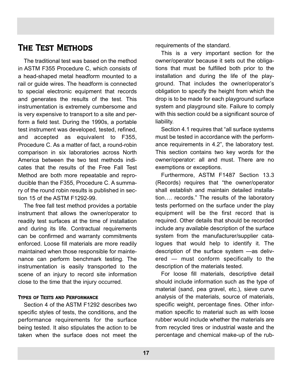## The Test Methods

The traditional test was based on the method in ASTM F355 Procedure C, which consists of a head-shaped metal headform mounted to a rail or guide wires. The headform is connected to special electronic equipment that records and generates the results of the test. This instrumentation is extremely cumbersome and is very expensive to transport to a site and perform a field test. During the 1990s, a portable test instrument was developed, tested, refined, and accepted as equivalent to F355, Procedure C. As a matter of fact, a round-robin comparison in six laboratories across North America between the two test methods indicates that the results of the Free Fall Test Method are both more repeatable and reproducible than the F355, Procedure C. A summary of the round robin results is published in section 15 of the ASTM F1292-99.

The free fall test method provides a portable instrument that allows the owner/operator to readily test surfaces at the time of installation and during its life. Contractual requirements can be confirmed and warranty commitments enforced. Loose fill materials are more readily maintained when those responsible for maintenance can perform benchmark testing. The instrumentation is easily transported to the scene of an injury to record site information close to the time that the injury occurred.

#### Types of Tests and Performance

Section 4 of the ASTM F1292 describes two specific styles of tests, the conditions, and the performance requirements for the surface being tested. It also stipulates the action to be taken when the surface does not meet the requirements of the standard.

This is a very important section for the owner/operator because it sets out the obligations that must be fulfilled both prior to the installation and during the life of the playground. That includes the owner/operator's obligation to specify the height from which the drop is to be made for each playground surface system and playground site. Failure to comply with this section could be a significant source of liability.

Section 4.1 requires that "all surface systems must be tested in accordance with the performance requirements in 4.2", the laboratory test. This section contains two key words for the owner/operator: all and must. There are no exemptions or exceptions.

Furthermore, ASTM F1487 Section 13.3 (Records) requires that "the owner/operator shall establish and maintain detailed installation…. records." The results of the laboratory tests performed on the surface under the play equipment will be the first record that is required. Other details that should be recorded include any available description of the surface system from the manufacturer/supplier catalogues that would help to identify it. The description of the surface system —as delivered — must conform specifically to the description of the materials tested.

For loose fill materials, descriptive detail should include information such as the type of material (sand, pea gravel, etc.), sieve curve analysis of the materials, source of materials, specific weight, percentage fines. Other information specific to material such as with loose rubber would include whether the materials are from recycled tires or industrial waste and the percentage and chemical make-up of the rub-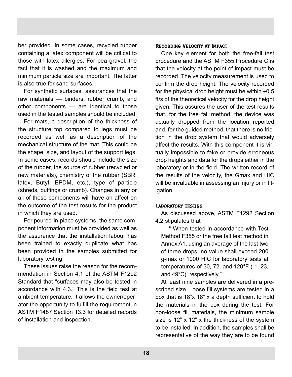ber provided. In some cases, recycled rubber containing a latex component will be critical to those with latex allergies. For pea gravel, the fact that it is washed and the maximum and minimum particle size are important. The latter is also true for sand surfaces.

For synthetic surfaces, assurances that the raw materials — binders, rubber crumb, and other components — are identical to those used in the tested samples should be included.

For mats, a description of the thickness of the structure top compared to legs must be recorded as well as a description of the mechanical structure of the mat. This could be the shape, size, and layout of the support legs. In some cases, records should include the size of the rubber, the source of rubber (recycled or new materials), chemistry of the rubber (SBR, latex, Butyl, EPDM, etc.), type of particle (shreds, buffings or crumb). Changes in any or all of these components will have an affect on the outcome of the test results for the product in which they are used.

For poured-in-place systems, the same component information must be provided as well as the assurance that the installation labour has been trained to exactly duplicate what has been provided in the samples submitted for laboratory testing.

These issues raise the reason for the recommendation in Section 4.1 of the ASTM F1292 Standard that "surfaces may also be tested in accordance with 4.3." This is the field test at ambient temperature. It allows the owner/operator the opportunity to fulfill the requirement in ASTM F1487 Section 13.3 for detailed records of installation and inspection.

#### Recording Velocity at Impact

One key element for both the free-fall test procedure and the ASTM F355 Procedure C is that the velocity at the point of impact must be recorded. The velocity measurement is used to confirm the drop height. The velocity recorded for the physical drop height must be within  $\pm 0.5$ ft/s of the theoretical velocity for the drop height given. This assures the user of the test results that, for the free fall method, the device was actually dropped from the location reported and, for the guided method, that there is no friction in the drop system that would adversely affect the results. With this component it is virtually impossible to fake or provide erroneous drop heights and data for the drops either in the laboratory or in the field. The written record of the results of the velocity, the Gmax and HIC will be invaluable in assessing an injury or in litigation.

#### Laboratory Testing

As discussed above, ASTM F1292 Section 4.2 stipulates that

" When tested in accordance with Test Method F355 or the free fall test method in Annex A1, using an average of the last two of three drops, no value shall exceed 200 g-max or 1000 HIC for laboratory tests at temperatures of 30, 72, and 120°F (-1, 23, and 49°C), respectively."

At least nine samples are delivered in a prescribed size. Loose fill systems are tested in a box that is 18"x 18" x a depth sufficient to hold the materials in the box during the test. For non-loose fill materials, the minimum sample size is 12" x 12" x the thickness of the system to be installed. In addition, the samples shall be representative of the way they are to be found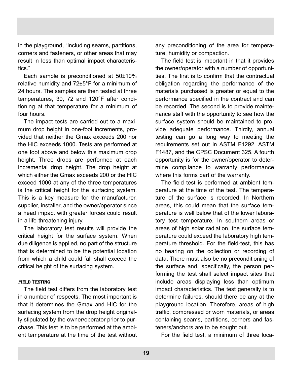in the playground, "including seams, partitions, corners and fasteners, or other areas that may result in less than optimal impact characteristics."

Each sample is preconditioned at 50±10% relative humidity and 72±5°F for a minimum of 24 hours. The samples are then tested at three temperatures, 30, 72 and 120°F after conditioning at that temperature for a minimum of four hours.

The impact tests are carried out to a maximum drop height in one-foot increments, provided that neither the Gmax exceeds 200 nor the HIC exceeds 1000. Tests are performed at one foot above and below this maximum drop height. Three drops are performed at each incremental drop height. The drop height at which either the Gmax exceeds 200 or the HIC exceed 1000 at any of the three temperatures is the critical height for the surfacing system. This is a key measure for the manufacturer, supplier, installer, and the owner/operator since a head impact with greater forces could result in a life-threatening injury.

The laboratory test results will provide the critical height for the surface system. When due diligence is applied, no part of the structure that is determined to be the potential location from which a child could fall shall exceed the critical height of the surfacing system.

#### Field Testing

The field test differs from the laboratory test in a number of respects. The most important is that it determines the Gmax and HIC for the surfacing system from the drop height originally stipulated by the owner/operator prior to purchase. This test is to be performed at the ambient temperature at the time of the test without any preconditioning of the area for temperature, humidity or compaction.

The field test is important in that it provides the owner/operator with a number of opportunities. The first is to confirm that the contractual obligation regarding the performance of the materials purchased is greater or equal to the performance specified in the contract and can be recorded. The second is to provide maintenance staff with the opportunity to see how the surface system should be maintained to provide adequate performance. Thirdly, annual testing can go a long way to meeting the requirements set out in ASTM F1292, ASTM F1487, and the CPSC Document 325. A fourth opportunity is for the owner/operator to determine compliance to warranty performance where this forms part of the warranty.

The field test is performed at ambient temperature at the time of the test. The temperature of the surface is recorded. In Northern areas, this could mean that the surface temperature is well below that of the lower laboratory test temperature. In southern areas or areas of high solar radiation, the surface temperature could exceed the laboratory high temperature threshold. For the field-test, this has no bearing on the collection or recording of data. There must also be no preconditioning of the surface and, specifically, the person performing the test shall select impact sites that include areas displaying less than optimum impact characteristics. The test generally is to determine failures, should there be any at the playground location. Therefore, areas of high traffic, compressed or worn materials, or areas containing seams, partitions, corners and fasteners/anchors are to be sought out.

For the field test, a minimum of three loca-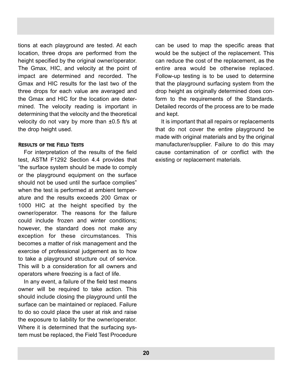tions at each playground are tested. At each location, three drops are performed from the height specified by the original owner/operator. The Gmax, HIC, and velocity at the point of impact are determined and recorded. The Gmax and HIC results for the last two of the three drops for each value are averaged and the Gmax and HIC for the location are determined. The velocity reading is important in determining that the velocity and the theoretical velocity do not vary by more than ±0.5 ft/s at the drop height used.

#### Results of the Field Tests

For interpretation of the results of the field test, ASTM F1292 Section 4.4 provides that "the surface system should be made to comply or the playground equipment on the surface should not be used until the surface complies" when the test is performed at ambient temperature and the results exceeds 200 Gmax or 1000 HIC at the height specified by the owner/operator. The reasons for the failure could include frozen and winter conditions; however, the standard does not make any exception for these circumstances. This becomes a matter of risk management and the exercise of professional judgement as to how to take a playground structure out of service. This will b a consideration for all owners and operators where freezing is a fact of life.

In any event, a failure of the field test means owner will be required to take action. This should include closing the playground until the surface can be maintained or replaced. Failure to do so could place the user at risk and raise the exposure to liability for the owner/operator. Where it is determined that the surfacing system must be replaced, the Field Test Procedure can be used to map the specific areas that would be the subject of the replacement. This can reduce the cost of the replacement, as the entire area would be otherwise replaced. Follow-up testing is to be used to determine that the playground surfacing system from the drop height as originally determined does conform to the requirements of the Standards. Detailed records of the process are to be made and kept.

It is important that all repairs or replacements that do not cover the entire playground be made with original materials and by the original manufacturer/supplier. Failure to do this may cause contamination of or conflict with the existing or replacement materials.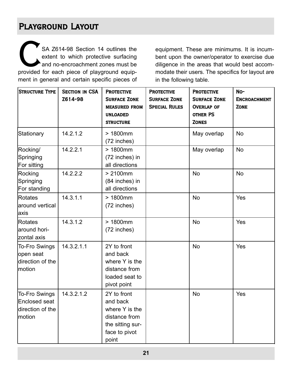## Playground Layout

SA Z614-98 Section 14 outlines the extent to which protective surfacing and no-encroachment zones must be provided for each piece of playground equipment in general and certain specific pieces of

equipment. These are minimums. It is incumbent upon the owner/operator to exercise due diligence in the areas that would best accommodate their users. The specifics for layout are in the following table.

| Structure Type                                                  | <b>SECTION IN CSA</b><br>Z614-98 | <b>PROTECTIVE</b><br><b>SURFACE ZONE</b><br><b>MEASURED FROM</b><br><b>UNLOADED</b><br><b>STRUCTURE</b>  | <b>PROTECTIVE</b><br><b>SURFACE ZONE</b><br><b>SPECIAL RULES</b> | <b>PROTECTIVE</b><br><b>SURFACE ZONE</b><br><b>OVERLAP OF</b><br><b>OTHER PS</b><br><b>ZONES</b> | No-<br><b>ENCROACHMENT</b><br><b>ZONE</b> |
|-----------------------------------------------------------------|----------------------------------|----------------------------------------------------------------------------------------------------------|------------------------------------------------------------------|--------------------------------------------------------------------------------------------------|-------------------------------------------|
| Stationary                                                      | 14.2.1.2                         | $>1800$ mm<br>(72 inches)                                                                                |                                                                  | May overlap                                                                                      | <b>No</b>                                 |
| Rocking/<br>Springing<br>For sitting                            | 14.2.2.1                         | $>1800$ mm<br>(72 inches) in<br>all directions                                                           |                                                                  | May overlap                                                                                      | <b>No</b>                                 |
| Rocking<br>Springing<br>For standing                            | 14.2.2.2                         | $> 2100$ mm<br>(84 inches) in<br>all directions                                                          |                                                                  | <b>No</b>                                                                                        | <b>No</b>                                 |
| Rotates<br>around vertical<br>laxis                             | 14.3.1.1                         | $>1800$ mm<br>(72 inches)                                                                                |                                                                  | <b>No</b>                                                                                        | Yes                                       |
| Rotates<br>around hori-<br>zontal axis                          | 14.3.1.2                         | $>1800$ mm<br>(72 inches)                                                                                |                                                                  | <b>No</b>                                                                                        | Yes                                       |
| <b>To-Fro Swings</b><br>open seat<br>direction of the<br>motion | 14.3.2.1.1                       | 2Y to front<br>and back<br>where Y is the<br>distance from<br>loaded seat to<br>pivot point              |                                                                  | <b>No</b>                                                                                        | Yes                                       |
| To-Fro Swings<br>Enclosed seat<br>direction of the<br>lmotion   | 14.3.2.1.2                       | 2Y to front<br>and back<br>where Y is the<br>distance from<br>the sitting sur-<br>face to pivot<br>point |                                                                  | <b>No</b>                                                                                        | Yes                                       |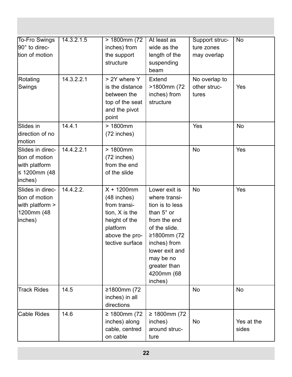| To-Fro Swings<br>$ 90^\circ$ to direc-<br>tion of motion                       | 14.3.2.1.5 | $> 1800$ mm $(72)$<br>inches) from<br>the support<br>structure                                                                     | At least as<br>wide as the<br>length of the<br>suspending<br>beam                                                                                                                                       | Support struc-<br>ture zones<br>may overlap | No                  |
|--------------------------------------------------------------------------------|------------|------------------------------------------------------------------------------------------------------------------------------------|---------------------------------------------------------------------------------------------------------------------------------------------------------------------------------------------------------|---------------------------------------------|---------------------|
| Rotating<br>Swings                                                             | 14.3.2.2.1 | > 2Y where Y<br>is the distance<br>between the<br>top of the seat<br>and the pivot<br>point                                        | Extend<br>>1800mm (72<br>inches) from<br>structure                                                                                                                                                      | No overlap to<br>other struc-<br>tures      | Yes                 |
| Slides in<br>direction of no<br>motion                                         | 14.4.1     | $>1800$ mm<br>(72 inches)                                                                                                          |                                                                                                                                                                                                         | Yes                                         | <b>No</b>           |
| Slides in direc-<br>tion of motion<br>with platform<br>≤ 1200mm (48<br>inches) | 14.4.2.2.1 | $>1800$ mm<br>(72 inches)<br>from the end<br>of the slide                                                                          |                                                                                                                                                                                                         | <b>No</b>                                   | Yes                 |
| Slides in direc-<br>tion of motion<br>with platform ><br>1200mm (48<br>inches) | 14.4.2.2.  | $X + 1200$ mm<br>$(48$ inches)<br>from transi-<br>tion, X is the<br>height of the<br>platform<br>above the pro-<br>tective surface | Lower exit is<br>where transi-<br>tion is to less<br>than 5° or<br>from the end<br>of the slide.<br>≥1800mm (72<br>inches) from<br>lower exit and<br>may be no<br>greater than<br>4200mm (68<br>inches) | <b>No</b>                                   | Yes                 |
| <b>Track Rides</b>                                                             | 14.5       | ≥1800mm (72<br>inches) in all<br>directions                                                                                        |                                                                                                                                                                                                         | <b>No</b>                                   | <b>No</b>           |
| <b>Cable Rides</b>                                                             | 14.6       | ≥ 1800mm (72)<br>inches) along<br>cable, centred<br>on cable                                                                       | ≥ 1800mm (72)<br>inches)<br>around struc-<br>ture                                                                                                                                                       | No                                          | Yes at the<br>sides |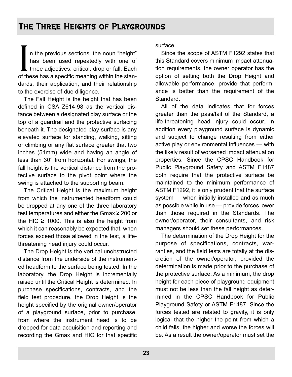In the previous sections, the noun "height"<br>has been used repeatedly with one of<br>three adjectives: critical, drop or fall. Each<br>of these has a specific meaning within the stann the previous sections, the noun "height" has been used repeatedly with one of I three adjectives: critical, drop or fall. Each dards, their application, and their relationship to the exercise of due diligence.

The Fall Height is the height that has been defined in CSA Z614-98 as the vertical distance between a designated play surface or the top of a guardrail and the protective surfacing beneath it. The designated play surface is any elevated surface for standing, walking, sitting or climbing or any flat surface greater that two inches (51mm) wide and having an angle of less than 30° from horizontal. For swings, the fall height is the vertical distance from the protective surface to the pivot point where the swing is attached to the supporting beam.

The Critical Height is the maximum height from which the instrumented headform could be dropped at any one of the three laboratory test temperatures and either the Gmax ≥ 200 or the HIC  $\geq$  1000. This is also the height from which it can reasonably be expected that, when forces exceed those allowed in the test, a lifethreatening head injury could occur.

The Drop Height is the vertical unobstructed distance from the underside of the instrumented headform to the surface being tested. In the laboratory, the Drop Height is incrementally raised until the Critical Height is determined. In purchase specifications, contracts, and the field test procedure, the Drop Height is the height specified by the original owner/operator of a playground surface, prior to purchase, from where the instrument head is to be dropped for data acquisition and reporting and recording the Gmax and HIC for that specific surface.

Since the scope of ASTM F1292 states that this Standard covers minimum impact attenuation requirements, the owner operator has the option of setting both the Drop Height and allowable performance, provide that performance is better than the requirement of the Standard.

All of the data indicates that for forces greater than the pass/fail of the Standard, a life-threatening head injury could occur. In addition every playground surface is dynamic and subject to change resulting from either active play or environmental influences — with the likely result of worsened impact attenuation properties. Since the CPSC Handbook for Public Playground Safety and ASTM F1487 both require that the protective surface be maintained to the minimum performance of ASTM F1292, it is only prudent that the surface system — when initially installed and as much as possible while in use — provide forces lower than those required in the Standards. The owner/operator, their consultants, and risk managers should set these performances.

The determination of the Drop Height for the purpose of specifications, contracts, warranties, and the field tests are totally at the discretion of the owner/operator, provided the determination is made prior to the purchase of the protective surface. As a minimum, the drop height for each piece of playground equipment must not be less than the fall height as determined in the CPSC Handbook for Public Playground Safety or ASTM F1487. Since the forces tested are related to gravity, it is only logical that the higher the point from which a child falls, the higher and worse the forces will be. As a result the owner/operator must set the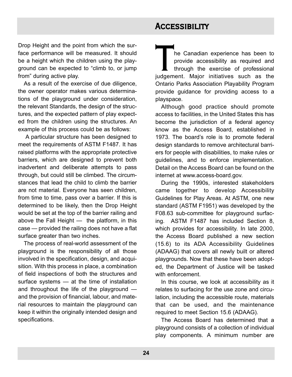## **ACCESSIBILITY**

Drop Height and the point from which the surface performance will be measured. It should be a height which the children using the playground can be expected to "climb to, or jump from" during active play.

As a result of the exercise of due diligence, the owner operator makes various determinations of the playground under consideration, the relevant Standards, the design of the structures, and the expected pattern of play expected from the children using the structures. An example of this process could be as follows:

A particular structure has been designed to meet the requirements of ASTM F1487. It has raised platforms with the appropriate protective barriers, which are designed to prevent both inadvertent and deliberate attempts to pass through, but could still be climbed. The circumstances that lead the child to climb the barrier are not material. Everyone has seen children, from time to time, pass over a barrier. If this is determined to be likely, then the Drop Height would be set at the top of the barrier railing and above the Fall Height — the platform, in this case — provided the railing does not have a flat surface greater than two inches.

The process of real-world assessment of the playground is the responsibility of all those involved in the specification, design, and acquisition. With this process in place, a combination of field inspections of both the structures and surface systems — at the time of installation and throughout the life of the playground and the provision of financial, labour, and material resources to maintain the playground can keep it within the originally intended design and specifications.

The Canadian experience has been to<br>provide accessibility as required and<br>through the exercise of professional<br>judgement. Major initiatives such as the provide accessibility as required and through the exercise of professional judgement. Major initiatives such as the Ontario Parks Association Playability Program provide guidance for providing access to a playspace.

Although good practice should promote access to facilities, in the United States this has become the jurisdiction of a federal agency know as the Access Board, established in 1973. The board's role is to promote federal design standards to remove architectural barriers for people with disabilities, to make rules or guidelines, and to enforce implementation. Detail on the Access Board can be found on the internet at www.access-board.gov.

During the 1990s, interested stakeholders came together to develop Accessibility Guidelines for Play Areas. At ASTM, one new standard (ASTM F1951) was developed by the F08.63 sub-committee for playground surfacing. ASTM F1487 has included Section 8, which provides for accessibility. In late 2000, the Access Board published a new section (15.6) to its ADA Accessibility Guidelines (ADAAG) that covers all newly built or altered playgrounds. Now that these have been adopted, the Department of Justice will be tasked with enforcement.

In this course, we look at accessibility as it relates to surfacing for the use zone and circulation, including the accessible route, materials that can be used, and the maintenance required to meet Section 15.6 (ADAAG).

The Access Board has determined that a playground consists of a collection of individual play components. A minimum number are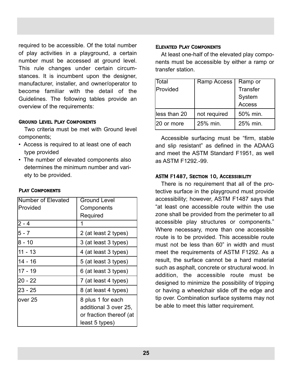required to be accessible. Of the total number of play activities in a playground, a certain number must be accessed at ground level. This rule changes under certain circumstances. It is incumbent upon the designer, manufacturer, installer, and owner/operator to become familiar with the detail of the Guidelines. The following tables provide an overview of the requirements:

#### Ground Level Play Components

Two criteria must be met with Ground level components;

- Access is required to at least one of each type provided
- The number of elevated components also determines the minimum number and variety to be provided.

#### Play Components

| Number of Elevated | <b>Ground Level</b>                                                                     |  |
|--------------------|-----------------------------------------------------------------------------------------|--|
| Provided           | Components                                                                              |  |
|                    | Required                                                                                |  |
| $2 - 4$            | 1                                                                                       |  |
| $5 - 7$            | 2 (at least 2 types)                                                                    |  |
| $8 - 10$           | 3 (at least 3 types)                                                                    |  |
| $11 - 13$          | 4 (at least 3 types)                                                                    |  |
| $14 - 16$          | 5 (at least 3 types)                                                                    |  |
| $17 - 19$          | 6 (at least 3 types)                                                                    |  |
| 20 - 22            | 7 (at least 4 types)                                                                    |  |
| 23 - 25            | 8 (at least 4 types)                                                                    |  |
| over 25            | 8 plus 1 for each<br>additional 3 over 25,<br>or fraction thereof (at<br>least 5 types) |  |

#### Elevated Play Components

At least one-half of the elevated play components must be accessible by either a ramp or transfer station.

| Total         | Ramp Access  | Ramp or         |  |
|---------------|--------------|-----------------|--|
| Provided      |              | <b>Transfer</b> |  |
|               |              | System          |  |
|               |              | Access          |  |
| lless than 20 | not required | 50% min.        |  |
| 20 or more    | 25% min.     | 25% min.        |  |

Accessible surfacing must be "firm, stable and slip resistant" as defined in the ADAAG and meet the ASTM Standard F1951, as well as ASTM F1292.-99.

#### ASTM F1487, Section 10, Accessibility

There is no requirement that all of the protective surface in the playground must provide accessibility; however, ASTM F1487 says that "at least one accessible route within the use zone shall be provided from the perimeter to all accessible play structures or components." Where necessary, more than one accessible route is to be provided. This accessible route must not be less than 60" in width and must meet the requirements of ASTM F1292. As a result, the surface cannot be a hard material such as asphalt, concrete or structural wood. In addition, the accessible route must be designed to minimize the possibility of tripping or having a wheelchair slide off the edge and tip over. Combination surface systems may not be able to meet this latter requirement.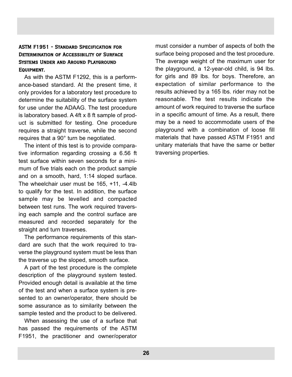#### ASTM F1951 - Standard Specification for DETERMINATION OF ACCESSIBILITY OF SURFACE Systems Under and Around Playground EQUIPMENT.

As with the ASTM F1292, this is a performance-based standard. At the present time, it only provides for a laboratory test procedure to determine the suitability of the surface system for use under the ADAAG. The test procedure is laboratory based. A 4ft x 8 ft sample of product is submitted for testing. One procedure requires a straight traverse, while the second requires that a 90° turn be negotiated.

The intent of this test is to provide comparative information regarding crossing a 6.56 ft test surface within seven seconds for a minimum of five trials each on the product sample and on a smooth, hard, 1:14 sloped surface. The wheelchair user must be 165, +11, -4.4lb to qualify for the test. In addition, the surface sample may be levelled and compacted between test runs. The work required traversing each sample and the control surface are measured and recorded separately for the straight and turn traverses.

The performance requirements of this standard are such that the work required to traverse the playground system must be less than the traverse up the sloped, smooth surface.

A part of the test procedure is the complete description of the playground system tested. Provided enough detail is available at the time of the test and when a surface system is presented to an owner/operator, there should be some assurance as to similarity between the sample tested and the product to be delivered.

When assessing the use of a surface that has passed the requirements of the ASTM F1951, the practitioner and owner/operator

must consider a number of aspects of both the surface being proposed and the test procedure. The average weight of the maximum user for the playground, a 12-year-old child, is 94 lbs. for girls and 89 lbs. for boys. Therefore, an expectation of similar performance to the results achieved by a 165 lbs. rider may not be reasonable. The test results indicate the amount of work required to traverse the surface in a specific amount of time. As a result, there may be a need to accommodate users of the playground with a combination of loose fill materials that have passed ASTM F1951 and unitary materials that have the same or better traversing properties.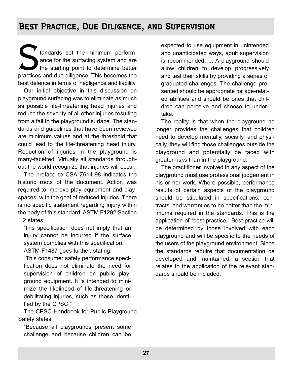## Best Practice, Due Diligence, and Supervision

Extendards set the minimum perform-<br>
ance for the surfacing system and are<br>
the starting point to determine better<br>
practices and due diligence. This becomes the ance for the surfacing system and are the starting point to determine better best defence in terms of negligence and liability.

Our initial objective in this discussion on playground surfacing was to eliminate as much as possible life-threatening head injuries and reduce the severity of all other injuries resulting from a fall to the playground surface. The standards and guidelines that have been reviewed are minimum values and at the threshold that could lead to the life-threatening head injury. Reduction of injuries in the playground is many-facetted. Virtually all standards throughout the world recognize that injuries will occur.

The preface to CSA Z614-98 indicates the historic roots of the document. Action was required to improve play equipment and playspaces, with the goal of reduced injuries. There is no specific statement regarding injury within the body of this standard. ASTM F1292 Section 1.2 states:

"this specification does not imply that an injury cannot be incurred if the surface system complies with this specification."

ASTM F1487 goes further, stating:

"This consumer safety performance specification does not eliminate the need for supervision of children on public playground equipment. It is intended to minimize the likelihood of life-threatening or debilitating injuries, such as those identified by the CPSC."

The CPSC Handbook for Public Playground Safety states:

"Because all playgrounds present some challenge and because children can be

expected to use equipment in unintended and unanticipated ways, adult supervision is recommended….. A playground should allow children to develop progressively and test their skills by providing a series of graduated challenges. The challenge presented should be appropriate for age-related abilities and should be ones that children can perceive and choose to undertake."

The reality is that when the playground no longer provides the challenges that children need to develop mentally, socially, and physically, they will find those challenges outside the playground and potentially be faced with greater risks than in the playground.

The practitioner involved in any aspect of the playground must use professional judgement in his or her work. Where possible, performance results of certain aspects of the playground should be stipulated in specifications, contracts, and warranties to be better than the minimums required in the standards. This is the application of "best practice." Best practice will be determined by those involved with each playground and will be specific to the needs of the users of the playground environment. Since the standards require that documentation be developed and maintained, a section that relates to the application of the relevant standards should be included.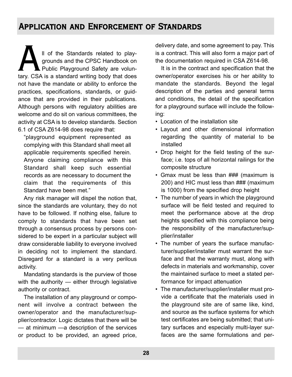## Application and Enforcement of Standards

II of the Standards related to playgrounds and the CPSC Handbook on Public Playground Safety are voluntary. CSA is a standard writing body that does grounds and the CPSC Handbook on Public Playground Safety are volunnot have the mandate or ability to enforce the practices, specifications, standards, or guidance that are provided in their publications. Although persons with regulatory abilities are welcome and do sit on various committees, the activity at CSA is to develop standards. Section 6.1 of CSA Z614-98 does require that:

"playground equipment represented as complying with this Standard shall meet all applicable requirements specified herein. Anyone claiming compliance with this Standard shall keep such essential records as are necessary to document the claim that the requirements of this Standard have been met."

Any risk manager will dispel the notion that, since the standards are voluntary, they do not have to be followed. If nothing else, failure to comply to standards that have been set through a consensus process by persons considered to be expert in a particular subject will draw considerable liability to everyone involved in deciding not to implement the standard. Disregard for a standard is a very perilous activity.

Mandating standards is the purview of those with the authority — either through legislative authority or contract.

The installation of any playground or component will involve a contract between the owner/operator and the manufacturer/supplier/contractor. Logic dictates that there will be — at minimum —a description of the services or product to be provided, an agreed price, delivery date, and some agreement to pay. This is a contract. This will also form a major part of the documentation required in CSA Z614-98.

It is in the contract and specification that the owner/operator exercises his or her ability to mandate the standards. Beyond the legal description of the parties and general terms and conditions, the detail of the specification for a playground surface will include the following:

- Location of the installation site
- Layout and other dimensional information regarding the quantity of material to be installed
- Drop height for the field testing of the surface; i.e. tops of all horizontal railings for the composite structure
- Gmax must be less than ### (maximum is 200) and HIC must less than ### (maximum is 1000) from the specified drop height
- The number of years in which the playground surface will be field tested and required to meet the performance above at the drop heights specified with this compliance being the responsibility of the manufacturer/supplier/installer
- The number of years the surface manufacturer/supplier/installer must warrant the surface and that the warranty must, along with defects in materials and workmanship, cover the maintained surface to meet a stated performance for impact attenuation
- The manufacturer/supplier/installer must provide a certificate that the materials used in the playground site are of same like, kind, and source as the surface systems for which test certificates are being submitted; that unitary surfaces and especially multi-layer surfaces are the same formulations and per-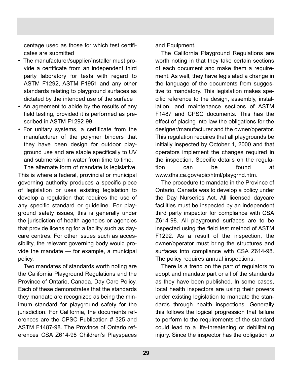centage used as those for which test certificates are submitted

- The manufacturer/supplier/installer must provide a certificate from an independent third party laboratory for tests with regard to ASTM F1292, ASTM F1951 and any other standards relating to playground surfaces as dictated by the intended use of the surface
- An agreement to abide by the results of any field testing, provided it is performed as prescribed in ASTM F1292-99
- For unitary systems, a certificate from the manufacturer of the polymer binders that they have been design for outdoor playground use and are stable specifically to UV and submersion in water from time to time.

The alternate form of mandate is legislative. This is where a federal, provincial or municipal governing authority produces a specific piece of legislation or uses existing legislation to develop a regulation that requires the use of any specific standard or guideline. For playground safety issues, this is generally under the jurisdiction of health agencies or agencies that provide licensing for a facility such as daycare centres. For other issues such as accessibility, the relevant governing body would provide the mandate — for example, a municipal policy.

Two mandates of standards worth noting are the California Playground Regulations and the Province of Ontario, Canada, Day Care Policy. Each of these demonstrates that the standards they mandate are recognized as being the minimum standard for playground safety for the jurisdiction. For California, the documents references are the CPSC Publication # 325 and ASTM F1487-98. The Province of Ontario references CSA Z614-98 Children's Playspaces and Equipment.

The California Playground Regulations are worth noting in that they take certain sections of each document and make them a requirement. As well, they have legislated a change in the language of the documents from suggestive to mandatory. This legislation makes specific reference to the design, assembly, installation, and maintenance sections of ASTM F1487 and CPSC documents. This has the effect of placing into law the obligations for the designer/manufacturer and the owner/operator. This regulation requires that all playgrounds be initially inspected by October 1, 2000 and that operators implement the changes required in the inspection. Specific details on the regulation can be found at www.dhs.ca.gov/epic/html/playgrnd.htm.

The procedure to mandate in the Province of Ontario, Canada was to develop a policy under the Day Nurseries Act. All licensed daycare facilities must be inspected by an independent third party inspector for compliance with CSA Z614-98. All playground surfaces are to be inspected using the field test method of ASTM F1292. As a result of the inspection, the owner/operator must bring the structures and surfaces into compliance with CSA Z614-98. The policy requires annual inspections.

There is a trend on the part of regulators to adopt and mandate part or all of the standards as they have been published. In some cases, local health inspectors are using their powers under existing legislation to mandate the standards through health inspections. Generally this follows the logical progression that failure to perform to the requirements of the standard could lead to a life-threatening or debilitating injury. Since the inspector has the obligation to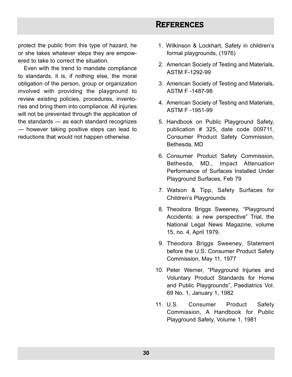## **REFERENCES**

protect the public from this type of hazard, he or she takes whatever steps they are empowered to take to correct the situation.

Even with the trend to mandate compliance to standards, it is, if nothing else, the moral obligation of the person, group or organization involved with providing the playground to review existing policies, procedures, inventories and bring them into compliance. All injuries will not be prevented through the application of the standards — as each standard recognizes — however taking positive steps can lead to reductions that would not happen otherwise.

- 1. Wilkinson & Lockhart, Safety in children's formal playgrounds, (1976)
- 12. American Society of Testing and Materials, ASTM F-1292-99
- 13. American Society of Testing and Materials, ASTM F -1487-98
- 14. American Society of Testing and Materials, ASTM F -1951-99
- 15. Handbook on Public Playground Safety, publication # 325, date code 009711, Consumer Product Safety Commission, Bethesda, MD
- 16. Consumer Product Safety Commission, Bethesda, MD., Impact Attenuation Performance of Surfaces Installed Under Playground Surfaces, Feb 79
- 17. Watson & Tipp, Safety Surfaces for Children's Playgrounds
- 18. Theodora Briggs Sweeney, "Playground Accidents: a new perspective" Trial, the National Legal News Magazine, volume 15, no. 4, April 1979.
- 19. Theodora Briggs Sweeney, Statement before the U.S. Consumer Product Safety Commission, May 11, 1977
- 10. Peter Werner, "Playground Injuries and Voluntary Product Standards for Home and Public Playgrounds", Paediatrics Vol. 69 No. 1, January 1, 1982
- 11. U.S. Consumer Product Safety Commission, A Handbook for Public Playground Safety, Volume 1, 1981